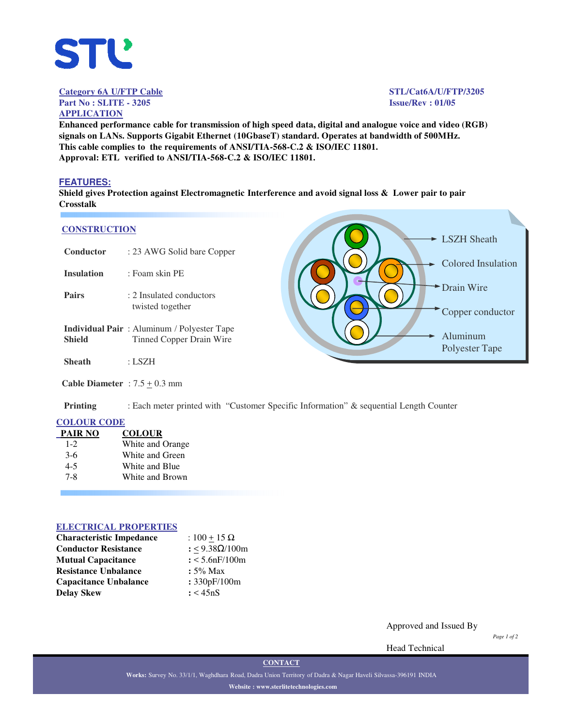

**Category 6A U/FTP Cable STL/Cat6A/U/FTP/3205 Part No : SLITE - 3205 Issue/Rev : 01/05**

# **APPLICATION**

**Enhanced performance cable for transmission of high speed data, digital and analogue voice and video (RGB) signals on LANs. Supports Gigabit Ethernet (10GbaseT) standard. Operates at bandwidth of 500MHz. This cable complies to the requirements of ANSI/TIA-568-C.2 & ISO/IEC 11801. Approval: ETL verified to ANSI/TIA-568-C.2 & ISO/IEC 11801.**

#### **FEATURES:**

**Shield gives Protection against Electromagnetic Interference and avoid signal loss & Lower pair to pair Crosstalk**

#### **CONSTRUCTION**

| <b>CONSTRUCTION</b>             |                                                                                | <b>LSZH</b> Sheath             |
|---------------------------------|--------------------------------------------------------------------------------|--------------------------------|
| Conductor                       | : 23 AWG Solid bare Copper                                                     |                                |
| <b>Insulation</b>               | : Foam skin PE                                                                 | <b>Colored Insulation</b>      |
| <b>Pairs</b>                    | : 2 Insulated conductors<br>twisted together                                   | Drain Wire<br>Copper conductor |
| <b>Shield</b>                   | <b>Individual Pair</b> : Aluminum / Polyester Tape<br>Tinned Copper Drain Wire | Aluminum<br>Polyester Tape     |
| <b>Sheath</b>                   | : LSZH                                                                         |                                |
| Cable Diameter : $7.5 + 0.3$ mm |                                                                                |                                |

**Printing** : Each meter printed with "Customer Specific Information" & sequential Length Counter

#### **COLOUR CODE**

| <b>PAIR NO</b> | <b>COLOUR</b>    |
|----------------|------------------|
| $1 - 2$        | White and Orange |
| $3-6$          | White and Green  |
| $4 - 5$        | White and Blue   |
| $7 - 8$        | White and Brown  |
|                |                  |

#### **ELECTRICAL PROPERTIES**

| <b>Characteristic Impedance</b> | : $100 + 15 \Omega$ |  |  |
|---------------------------------|---------------------|--|--|
| <b>Conductor Resistance</b>     | : <9.38Ω/100m       |  |  |
| <b>Mutual Capacitance</b>       | $: < 5.6$ nF/100m   |  |  |
| <b>Resistance Unbalance</b>     | $: 5\%$ Max         |  |  |
| <b>Capacitance Unbalance</b>    | : 330pF/100m        |  |  |
| <b>Delay Skew</b>               | : < 45nS            |  |  |

Approved and Issued By

*Page 1 of 2*

Head Technical

**CONTACT**

**Works:** Survey No. 33/1/1, Waghdhara Road, Dadra Union Territory of Dadra & Nagar Haveli Silvassa-396191 INDIA **Website : www.sterlitetechnologies.com**